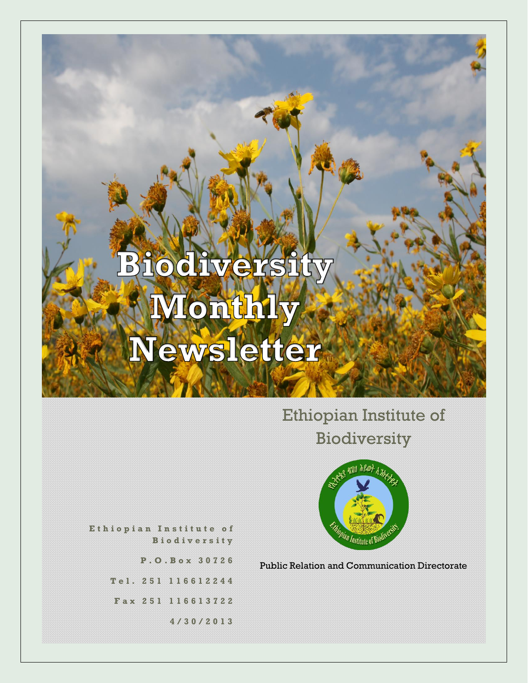## Ethiopian Institute of Biodiversity



**E t h i o p i a n I n s t i t u t e o f B i o d i v e r s i t y**

> **P . O . B o x 3 0 7 2 6 T e l . 2 5 1 1 1 6 6 1 2 2 4 4**

**F a x 2 5 1 116613722**

**4 / 3 0 / 2 0 1 3**

Public Relation and Communication Directorate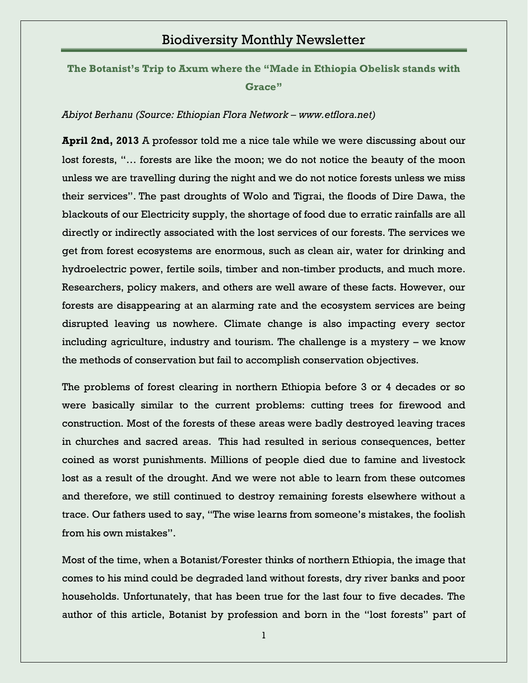**[The Botanist's Trip to Axum where the "Made in Ethiopia Obelisk stands with](http://www.ibc.gov.et/2771)  [Grace"](http://www.ibc.gov.et/2771)**

#### *Abiyot Berhanu (Source: Ethiopian Flora Network – www.etflora.net)*

**April 2nd, 2013** A professor told me a nice tale while we were discussing about our lost forests, "… forests are like the moon; we do not notice the beauty of the moon unless we are travelling during the night and we do not notice forests unless we miss their services". The past droughts of Wolo and Tigrai, the floods of Dire Dawa, the blackouts of our Electricity supply, the shortage of food due to erratic rainfalls are all directly or indirectly associated with the lost services of our forests. The services we get from forest ecosystems are enormous, such as clean air, water for drinking and hydroelectric power, fertile soils, timber and non-timber products, and much more. Researchers, policy makers, and others are well aware of these facts. However, our forests are disappearing at an alarming rate and the ecosystem services are being disrupted leaving us nowhere. Climate change is also impacting every sector including agriculture, industry and tourism. The challenge is a mystery – we know the methods of conservation but fail to accomplish conservation objectives.

The problems of forest clearing in northern Ethiopia before 3 or 4 decades or so were basically similar to the current problems: cutting trees for firewood and construction. Most of the forests of these areas were badly destroyed leaving traces in churches and sacred areas. This had resulted in serious consequences, better coined as worst punishments. Millions of people died due to famine and livestock lost as a result of the drought. And we were not able to learn from these outcomes and therefore, we still continued to destroy remaining forests elsewhere without a trace. Our fathers used to say, "The wise learns from someone"s mistakes, the foolish from his own mistakes".

Most of the time, when a Botanist/Forester thinks of northern Ethiopia, the image that comes to his mind could be degraded land without forests, dry river banks and poor households. Unfortunately, that has been true for the last four to five decades. The author of this article, Botanist by profession and born in the "lost forests" part of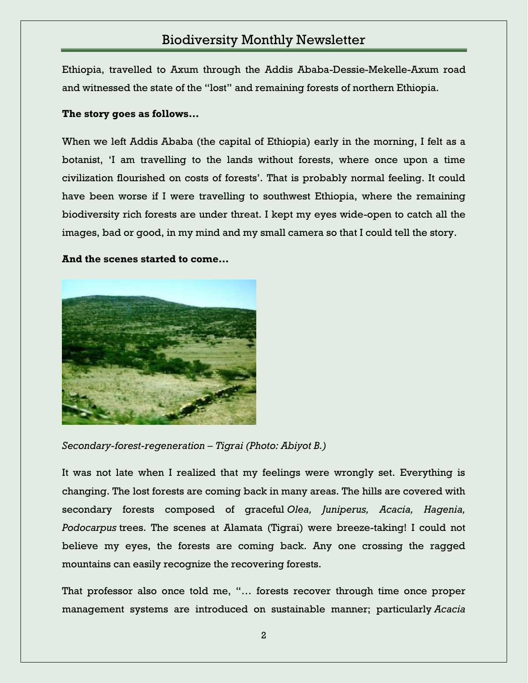Ethiopia, travelled to Axum through the Addis Ababa-Dessie-Mekelle-Axum road and witnessed the state of the "lost" and remaining forests of northern Ethiopia.

#### **The story goes as follows…**

When we left Addis Ababa (the capital of Ethiopia) early in the morning, I felt as a botanist, "I am travelling to the lands without forests, where once upon a time civilization flourished on costs of forests". That is probably normal feeling. It could have been worse if I were travelling to southwest Ethiopia, where the remaining biodiversity rich forests are under threat. I kept my eyes wide-open to catch all the images, bad or good, in my mind and my small camera so that I could tell the story.

#### **And the scenes started to come…**



*Secondary-forest-regeneration – Tigrai (Photo: Abiyot B.)*

It was not late when I realized that my feelings were wrongly set. Everything is changing. The lost forests are coming back in many areas. The hills are covered with secondary forests composed of graceful *Olea, Juniperus, Acacia, Hagenia, Podocarpus* trees. The scenes at Alamata (Tigrai) were breeze-taking! I could not believe my eyes, the forests are coming back. Any one crossing the ragged mountains can easily recognize the recovering forests.

That professor also once told me, "… forests recover through time once proper management systems are introduced on sustainable manner; particularly *Acacia*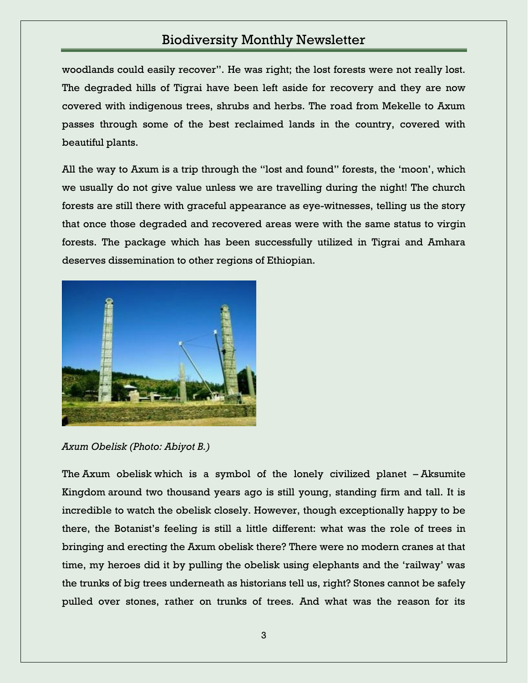woodlands could easily recover". He was right; the lost forests were not really lost. The degraded hills of Tigrai have been left aside for recovery and they are now covered with indigenous trees, shrubs and herbs. The road from Mekelle to Axum passes through some of the best reclaimed lands in the country, covered with beautiful plants.

All the way to Axum is a trip through the "lost and found" forests, the "moon", which we usually do not give value unless we are travelling during the night! The church forests are still there with graceful appearance as eye-witnesses, telling us the story that once those degraded and recovered areas were with the same status to virgin forests. The package which has been successfully utilized in Tigrai and Amhara deserves dissemination to other regions of Ethiopian.



*Axum Obelisk (Photo: Abiyot B.)*

The Axum obelisk which is a symbol of the lonely civilized planet – Aksumite Kingdom around two thousand years ago is still young, standing firm and tall. It is incredible to watch the obelisk closely. However, though exceptionally happy to be there, the Botanist"s feeling is still a little different: what was the role of trees in bringing and erecting the Axum obelisk there? There were no modern cranes at that time, my heroes did it by pulling the obelisk using elephants and the "railway" was the trunks of big trees underneath as historians tell us, right? Stones cannot be safely pulled over stones, rather on trunks of trees. And what was the reason for its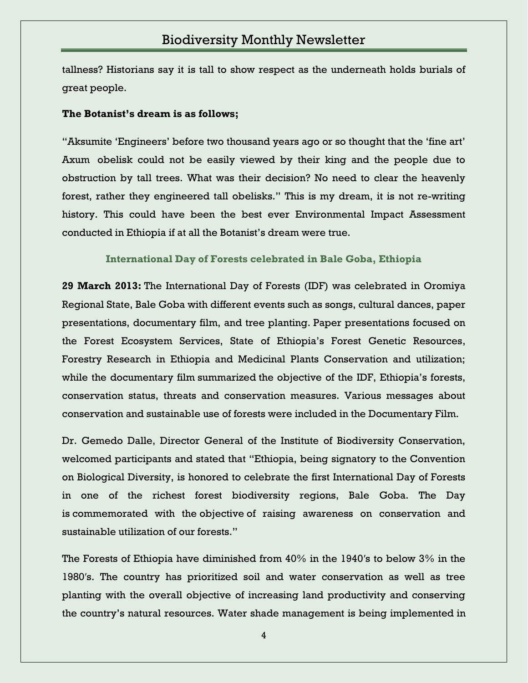tallness? Historians say it is tall to show respect as the underneath holds burials of great people.

#### **The Botanist's dream is as follows;**

"Aksumite "Engineers" before two thousand years ago or so thought that the "fine art" Axum obelisk could not be easily viewed by their king and the people due to obstruction by tall trees. What was their decision? No need to clear the heavenly forest, rather they engineered tall obelisks." This is my dream, it is not re-writing history. This could have been the best ever Environmental Impact Assessment conducted in Ethiopia if at all the Botanist's dream were true.

**[International Day of Forests celebrated in Bale Goba, Ethiopia](http://www.ibc.gov.et/2768)**

**29 March 2013:** The International Day of Forests (IDF) was celebrated in Oromiya Regional State, Bale Goba with different events such as songs, cultural dances, paper presentations, documentary film, and tree planting. Paper presentations focused on the Forest Ecosystem Services, State of Ethiopia"s Forest Genetic Resources, Forestry Research in Ethiopia and Medicinal Plants Conservation and utilization; while the documentary film summarized the objective of the IDF, Ethiopia's forests, conservation status, threats and conservation measures. Various messages about conservation and sustainable use of forests were included in the Documentary Film.

Dr. Gemedo Dalle, Director General of the Institute of Biodiversity Conservation, welcomed participants and stated that "Ethiopia, being signatory to the Convention on Biological Diversity, is honored to celebrate the first International Day of Forests in one of the richest forest biodiversity regions, Bale Goba. The Day is commemorated with the objective of raising awareness on conservation and sustainable utilization of our forests."

The Forests of Ethiopia have diminished from 40% in the 1940′s to below 3% in the 1980′s. The country has prioritized soil and water conservation as well as tree planting with the overall objective of increasing land productivity and conserving the country"s natural resources. Water shade management is being implemented in